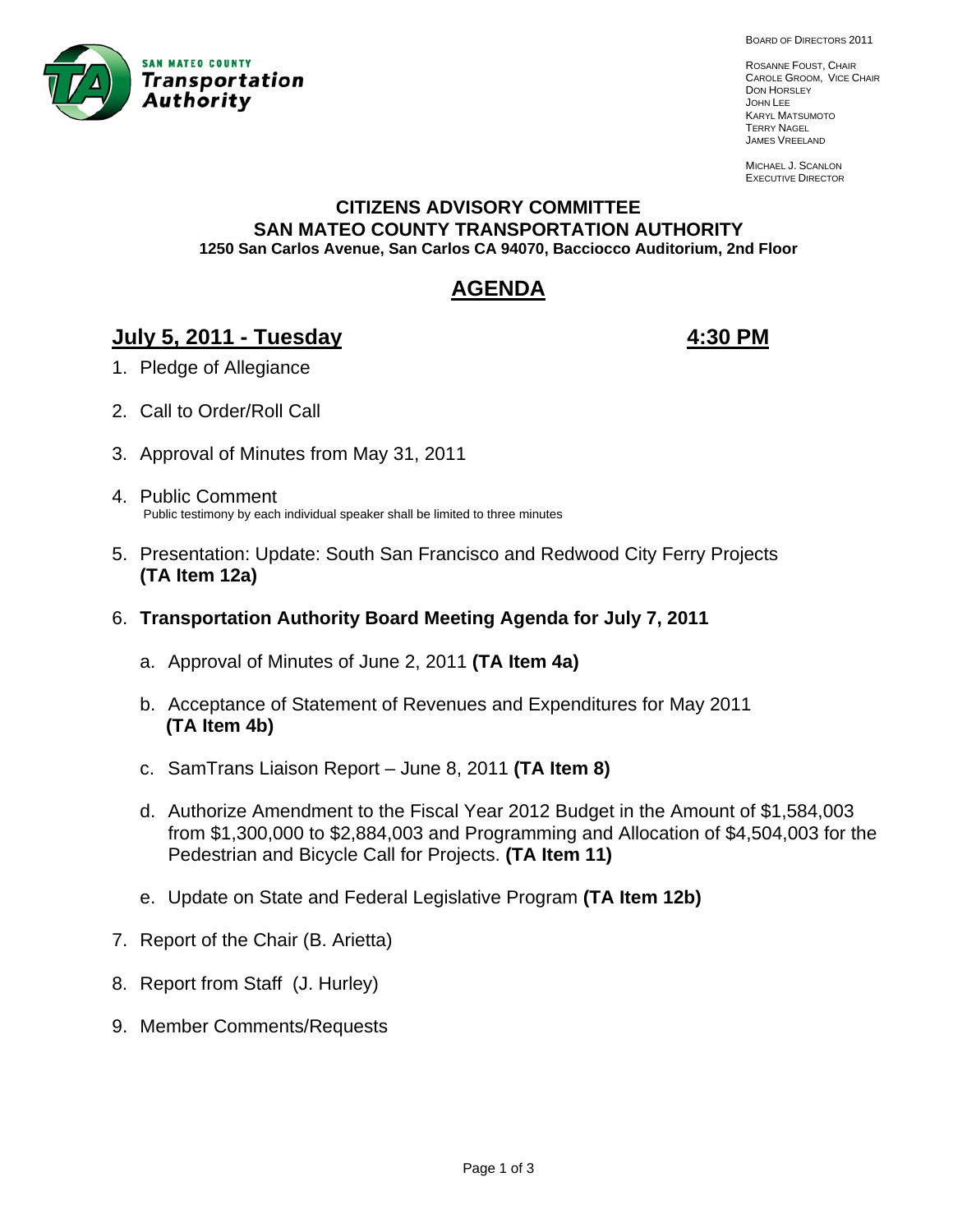

BOARD OF DIRECTORS 2011

ROSANNE FOUST, CHAIR CAROLE GROOM, VICE CHAIR DON HORSLEY JOHN LEE KARYL MATSUMOTO TERRY NAGEL JAMES VREELAND

MICHAEL J. SCANLON EXECUTIVE DIRECTOR

#### **CITIZENS ADVISORY COMMITTEE SAN MATEO COUNTY TRANSPORTATION AUTHORITY 1250 San Carlos Avenue, San Carlos CA 94070, Bacciocco Auditorium, 2nd Floor**

# **AGENDA**

# **July 5, 2011 - Tuesday 4:30 PM**

- 1. Pledge of Allegiance
- 2. Call to Order/Roll Call
- 3. Approval of Minutes from May 31, 2011
- 4. Public Comment Public testimony by each individual speaker shall be limited to three minutes
- 5. Presentation: Update: South San Francisco and Redwood City Ferry Projects **(TA Item 12a)**
- 6. **Transportation Authority Board Meeting Agenda for July 7, 2011**
	- a. Approval of Minutes of June 2, 2011 **(TA Item 4a)**
	- b. Acceptance of Statement of Revenues and Expenditures for May 2011  **(TA Item 4b)**
	- c. SamTrans Liaison Report June 8, 2011 **(TA Item 8)**
	- d. Authorize Amendment to the Fiscal Year 2012 Budget in the Amount of \$1,584,003 from \$1,300,000 to \$2,884,003 and Programming and Allocation of \$4,504,003 for the Pedestrian and Bicycle Call for Projects. **(TA Item 11)**
	- e. Update on State and Federal Legislative Program **(TA Item 12b)**
- 7. Report of the Chair (B. Arietta)
- 8. Report from Staff (J. Hurley)
- 9. Member Comments/Requests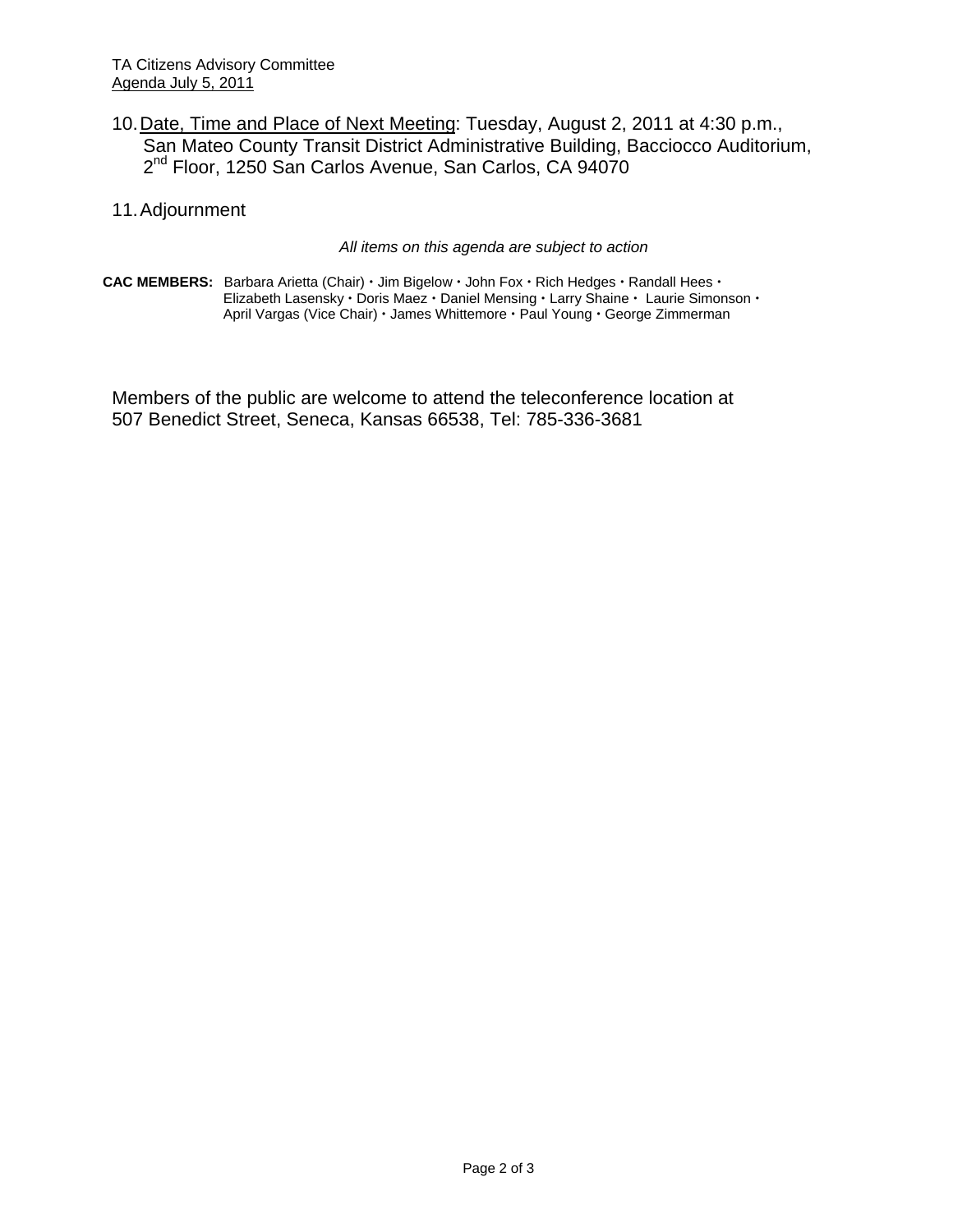- 10. Date, Time and Place of Next Meeting: Tuesday, August 2, 2011 at 4:30 p.m., San Mateo County Transit District Administrative Building, Bacciocco Auditorium, 2<sup>nd</sup> Floor, 1250 San Carlos Avenue, San Carlos, CA 94070
- 11. Adjournment

#### *All items on this agenda are subject to action*

CAC MEMBERS: Barbara Arietta (Chair) · Jim Bigelow · John Fox · Rich Hedges · Randall Hees · Elizabeth Lasensky · Doris Maez · Daniel Mensing · Larry Shaine · Laurie Simonson · April Vargas (Vice Chair) · James Whittemore · Paul Young · George Zimmerman

Members of the public are welcome to attend the teleconference location at 507 Benedict Street, Seneca, Kansas 66538, Tel: 785-336-3681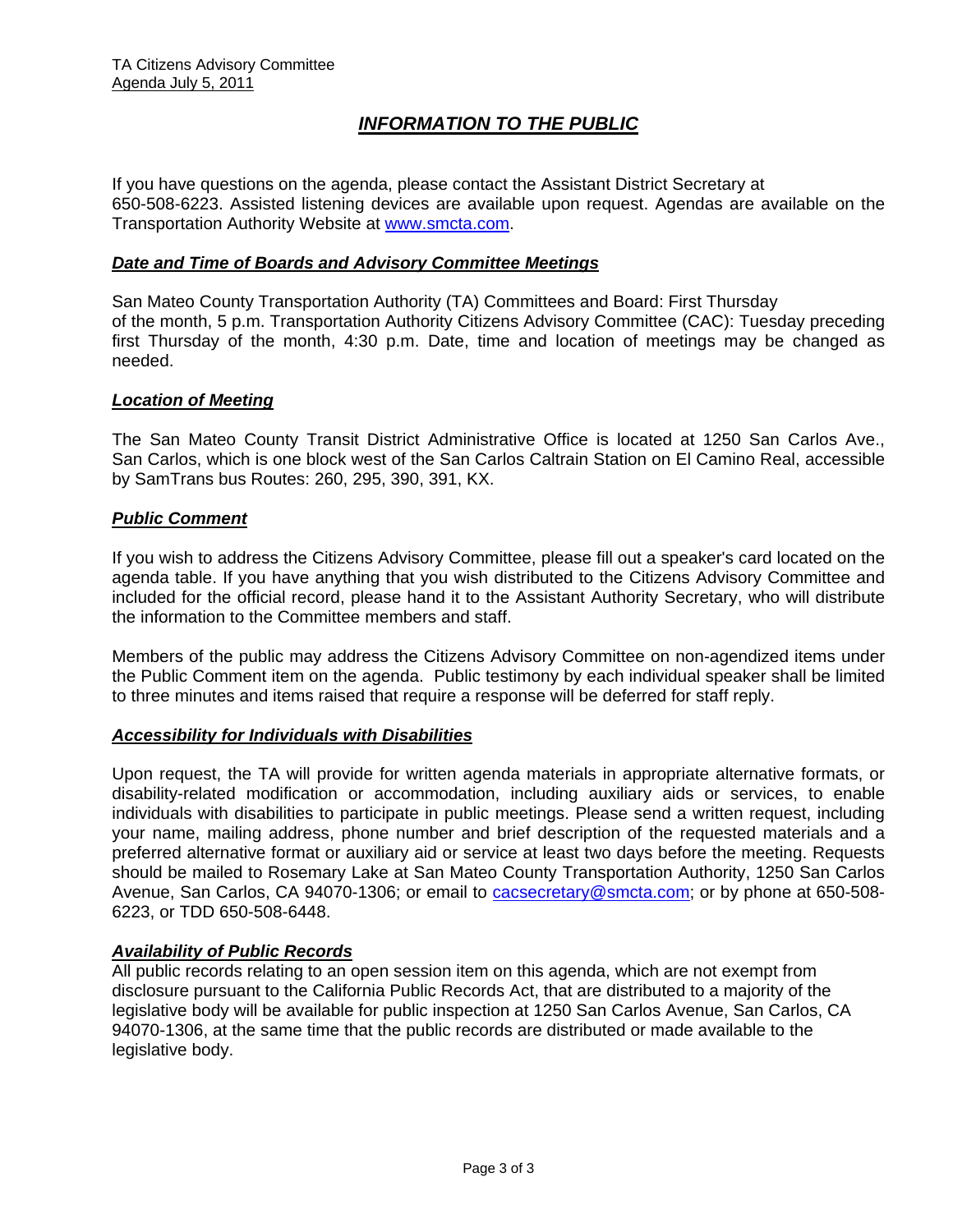# *INFORMATION TO THE PUBLIC*

If you have questions on the agenda, please contact the Assistant District Secretary at 650-508-6223. Assisted listening devices are available upon request. Agendas are available on the Transportation Authority Website at [www.smcta.com.](http://www.smcta.com/)

#### *Date and Time of Boards and Advisory Committee Meetings*

San Mateo County Transportation Authority (TA) Committees and Board: First Thursday of the month, 5 p.m. Transportation Authority Citizens Advisory Committee (CAC): Tuesday preceding first Thursday of the month, 4:30 p.m. Date, time and location of meetings may be changed as needed.

#### *Location of Meeting*

The San Mateo County Transit District Administrative Office is located at 1250 San Carlos Ave., San Carlos, which is one block west of the San Carlos Caltrain Station on El Camino Real, accessible by SamTrans bus Routes: 260, 295, 390, 391, KX.

#### *Public Comment*

If you wish to address the Citizens Advisory Committee, please fill out a speaker's card located on the agenda table. If you have anything that you wish distributed to the Citizens Advisory Committee and included for the official record, please hand it to the Assistant Authority Secretary, who will distribute the information to the Committee members and staff.

Members of the public may address the Citizens Advisory Committee on non-agendized items under the Public Comment item on the agenda. Public testimony by each individual speaker shall be limited to three minutes and items raised that require a response will be deferred for staff reply.

#### *Accessibility for Individuals with Disabilities*

Upon request, the TA will provide for written agenda materials in appropriate alternative formats, or disability-related modification or accommodation, including auxiliary aids or services, to enable individuals with disabilities to participate in public meetings. Please send a written request, including your name, mailing address, phone number and brief description of the requested materials and a preferred alternative format or auxiliary aid or service at least two days before the meeting. Requests should be mailed to Rosemary Lake at San Mateo County Transportation Authority, 1250 San Carlos Avenue, San Carlos, CA 94070-1306; or email to [cacsecretary@smcta.com](mailto:cacsecretary@smcta.com); or by phone at 650-508- 6223, or TDD 650-508-6448.

#### *Availability of Public Records*

All public records relating to an open session item on this agenda, which are not exempt from disclosure pursuant to the California Public Records Act, that are distributed to a majority of the legislative body will be available for public inspection at 1250 San Carlos Avenue, San Carlos, CA 94070-1306, at the same time that the public records are distributed or made available to the legislative body.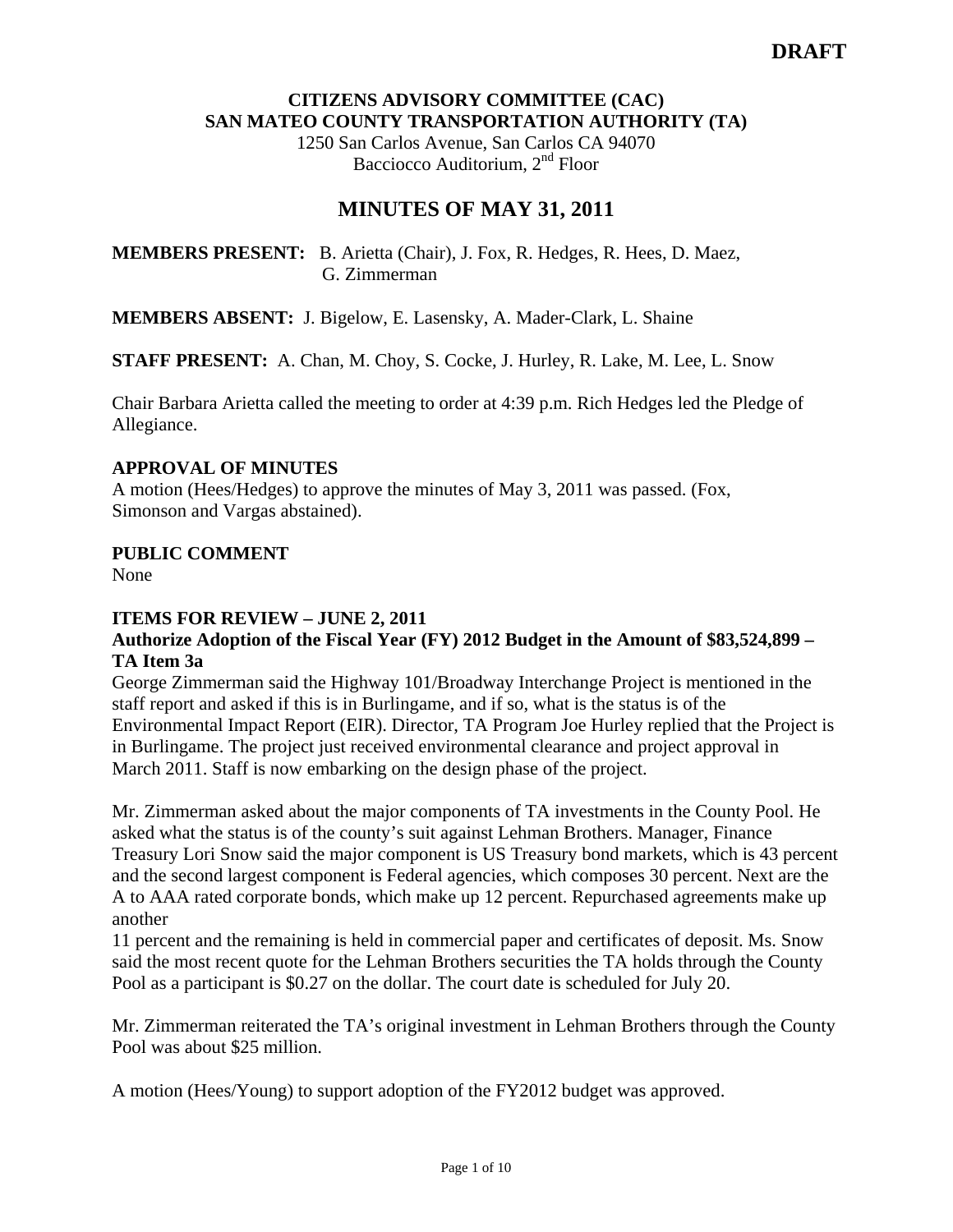#### **CITIZENS ADVISORY COMMITTEE (CAC) SAN MATEO COUNTY TRANSPORTATION AUTHORITY (TA)**

1250 San Carlos Avenue, San Carlos CA 94070 Bacciocco Auditorium, 2<sup>nd</sup> Floor

# **MINUTES OF MAY 31, 2011**

**MEMBERS PRESENT:** B. Arietta (Chair), J. Fox, R. Hedges, R. Hees, D. Maez, G. Zimmerman

**MEMBERS ABSENT:** J. Bigelow, E. Lasensky, A. Mader-Clark, L. Shaine

**STAFF PRESENT:** A. Chan, M. Choy, S. Cocke, J. Hurley, R. Lake, M. Lee, L. Snow

Chair Barbara Arietta called the meeting to order at 4:39 p.m. Rich Hedges led the Pledge of Allegiance.

## **APPROVAL OF MINUTES**

A motion (Hees/Hedges) to approve the minutes of May 3, 2011 was passed. (Fox, Simonson and Vargas abstained).

## **PUBLIC COMMENT**

None

## **ITEMS FOR REVIEW – JUNE 2, 2011**

## **Authorize Adoption of the Fiscal Year (FY) 2012 Budget in the Amount of \$83,524,899 – TA Item 3a**

George Zimmerman said the Highway 101/Broadway Interchange Project is mentioned in the staff report and asked if this is in Burlingame, and if so, what is the status is of the Environmental Impact Report (EIR). Director, TA Program Joe Hurley replied that the Project is in Burlingame. The project just received environmental clearance and project approval in March 2011. Staff is now embarking on the design phase of the project.

Mr. Zimmerman asked about the major components of TA investments in the County Pool. He asked what the status is of the county's suit against Lehman Brothers. Manager, Finance Treasury Lori Snow said the major component is US Treasury bond markets, which is 43 percent and the second largest component is Federal agencies, which composes 30 percent. Next are the A to AAA rated corporate bonds, which make up 12 percent. Repurchased agreements make up another

11 percent and the remaining is held in commercial paper and certificates of deposit. Ms. Snow said the most recent quote for the Lehman Brothers securities the TA holds through the County Pool as a participant is \$0.27 on the dollar. The court date is scheduled for July 20.

Mr. Zimmerman reiterated the TA's original investment in Lehman Brothers through the County Pool was about \$25 million.

A motion (Hees/Young) to support adoption of the FY2012 budget was approved.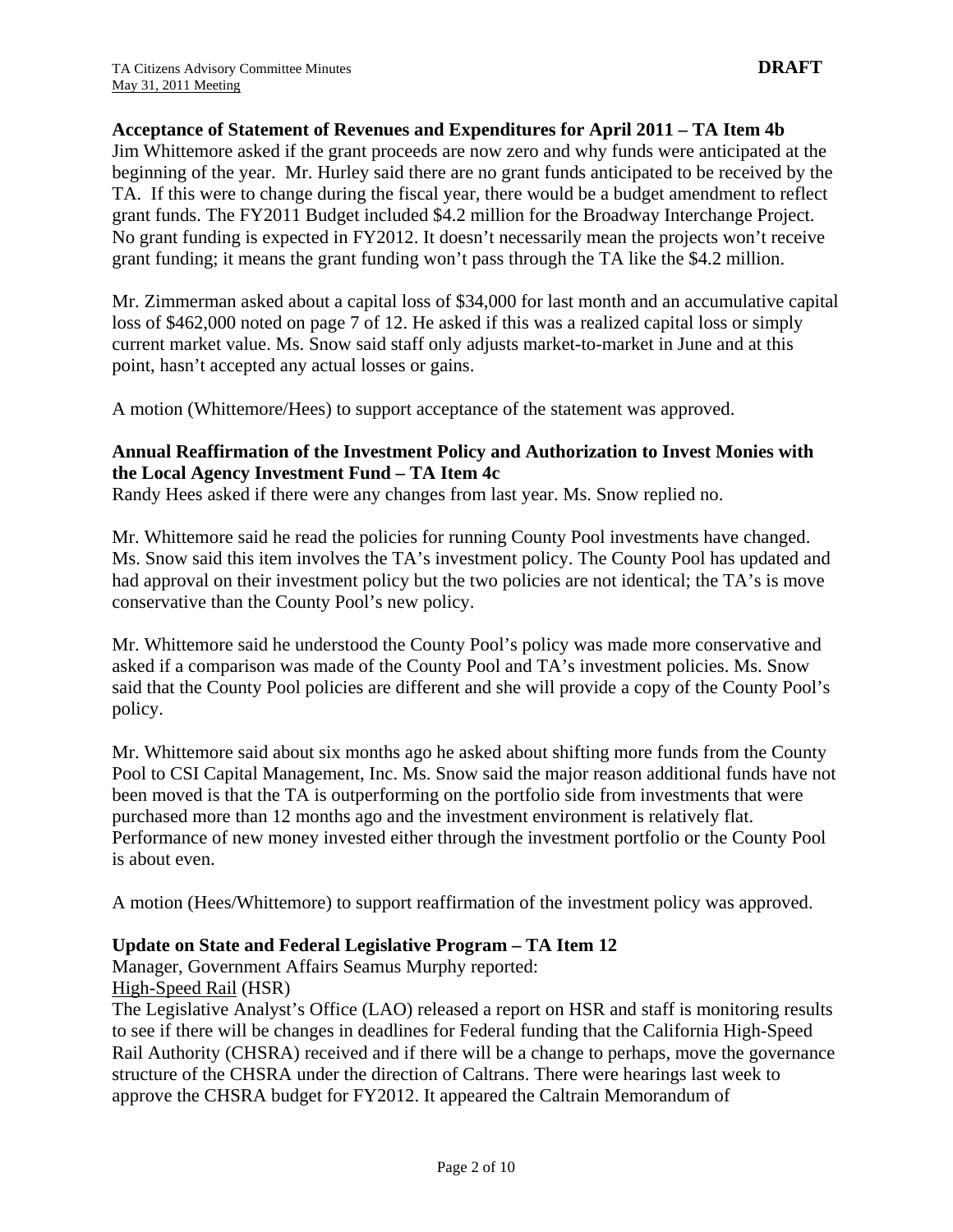**Acceptance of Statement of Revenues and Expenditures for April 2011 – TA Item 4b** 

Jim Whittemore asked if the grant proceeds are now zero and why funds were anticipated at the beginning of the year. Mr. Hurley said there are no grant funds anticipated to be received by the TA. If this were to change during the fiscal year, there would be a budget amendment to reflect grant funds. The FY2011 Budget included \$4.2 million for the Broadway Interchange Project. No grant funding is expected in FY2012. It doesn't necessarily mean the projects won't receive grant funding; it means the grant funding won't pass through the TA like the \$4.2 million.

Mr. Zimmerman asked about a capital loss of \$34,000 for last month and an accumulative capital loss of \$462,000 noted on page 7 of 12. He asked if this was a realized capital loss or simply current market value. Ms. Snow said staff only adjusts market-to-market in June and at this point, hasn't accepted any actual losses or gains.

A motion (Whittemore/Hees) to support acceptance of the statement was approved.

## **Annual Reaffirmation of the Investment Policy and Authorization to Invest Monies with the Local Agency Investment Fund – TA Item 4c**

Randy Hees asked if there were any changes from last year. Ms. Snow replied no.

Mr. Whittemore said he read the policies for running County Pool investments have changed. Ms. Snow said this item involves the TA's investment policy. The County Pool has updated and had approval on their investment policy but the two policies are not identical; the TA's is move conservative than the County Pool's new policy.

Mr. Whittemore said he understood the County Pool's policy was made more conservative and asked if a comparison was made of the County Pool and TA's investment policies. Ms. Snow said that the County Pool policies are different and she will provide a copy of the County Pool's policy.

Mr. Whittemore said about six months ago he asked about shifting more funds from the County Pool to CSI Capital Management, Inc. Ms. Snow said the major reason additional funds have not been moved is that the TA is outperforming on the portfolio side from investments that were purchased more than 12 months ago and the investment environment is relatively flat. Performance of new money invested either through the investment portfolio or the County Pool is about even.

A motion (Hees/Whittemore) to support reaffirmation of the investment policy was approved.

#### **Update on State and Federal Legislative Program – TA Item 12**

Manager, Government Affairs Seamus Murphy reported: High-Speed Rail (HSR)

The Legislative Analyst's Office (LAO) released a report on HSR and staff is monitoring results to see if there will be changes in deadlines for Federal funding that the California High-Speed Rail Authority (CHSRA) received and if there will be a change to perhaps, move the governance structure of the CHSRA under the direction of Caltrans. There were hearings last week to approve the CHSRA budget for FY2012. It appeared the Caltrain Memorandum of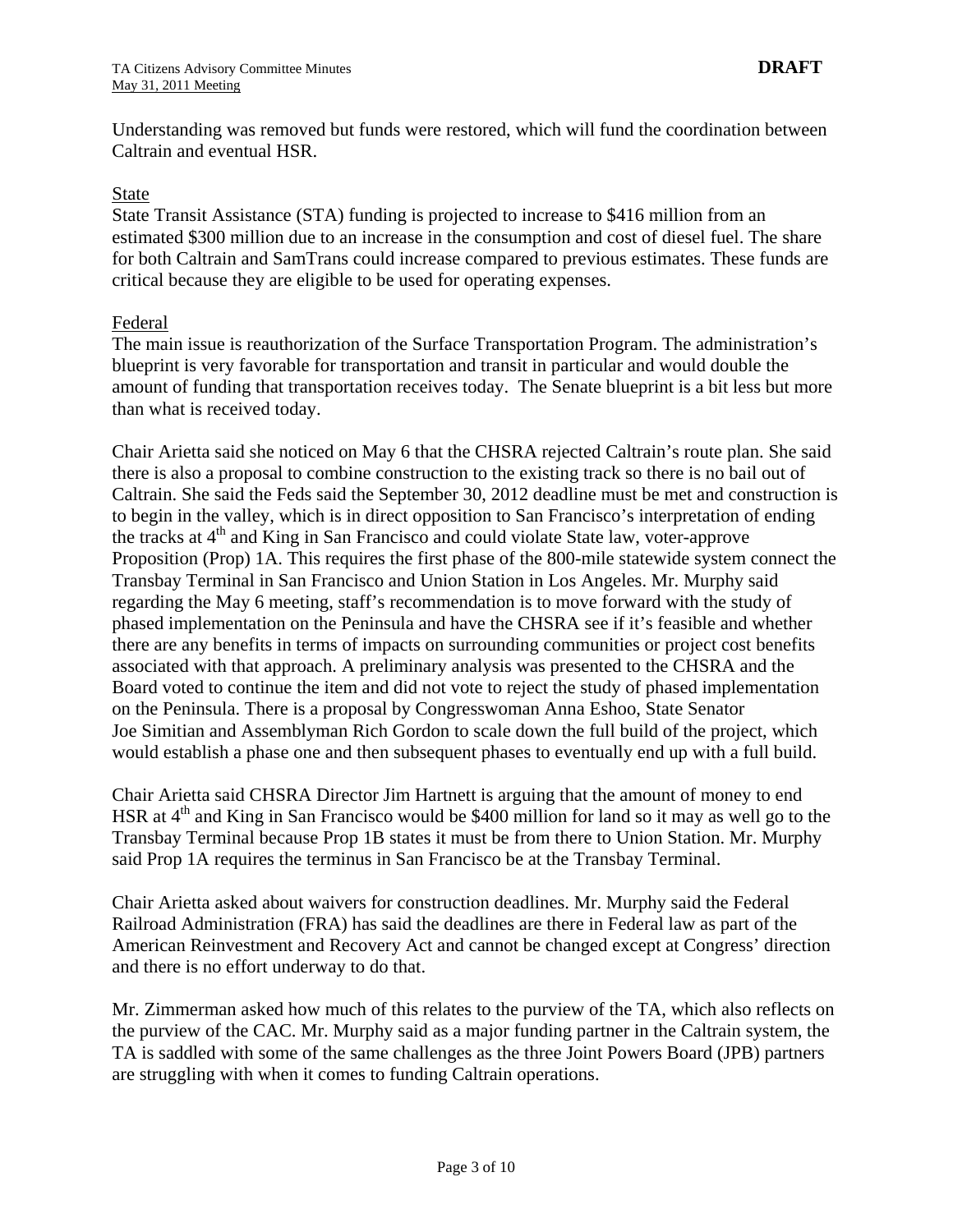Understanding was removed but funds were restored, which will fund the coordination between Caltrain and eventual HSR.

#### State

State Transit Assistance (STA) funding is projected to increase to \$416 million from an estimated \$300 million due to an increase in the consumption and cost of diesel fuel. The share for both Caltrain and SamTrans could increase compared to previous estimates. These funds are critical because they are eligible to be used for operating expenses.

#### Federal

The main issue is reauthorization of the Surface Transportation Program. The administration's blueprint is very favorable for transportation and transit in particular and would double the amount of funding that transportation receives today. The Senate blueprint is a bit less but more than what is received today.

Chair Arietta said she noticed on May 6 that the CHSRA rejected Caltrain's route plan. She said there is also a proposal to combine construction to the existing track so there is no bail out of Caltrain. She said the Feds said the September 30, 2012 deadline must be met and construction is to begin in the valley, which is in direct opposition to San Francisco's interpretation of ending the tracks at  $4<sup>th</sup>$  and King in San Francisco and could violate State law, voter-approve Proposition (Prop) 1A. This requires the first phase of the 800-mile statewide system connect the Transbay Terminal in San Francisco and Union Station in Los Angeles. Mr. Murphy said regarding the May 6 meeting, staff's recommendation is to move forward with the study of phased implementation on the Peninsula and have the CHSRA see if it's feasible and whether there are any benefits in terms of impacts on surrounding communities or project cost benefits associated with that approach. A preliminary analysis was presented to the CHSRA and the Board voted to continue the item and did not vote to reject the study of phased implementation on the Peninsula. There is a proposal by Congresswoman Anna Eshoo, State Senator Joe Simitian and Assemblyman Rich Gordon to scale down the full build of the project, which would establish a phase one and then subsequent phases to eventually end up with a full build.

Chair Arietta said CHSRA Director Jim Hartnett is arguing that the amount of money to end HSR at  $4<sup>th</sup>$  and King in San Francisco would be \$400 million for land so it may as well go to the Transbay Terminal because Prop 1B states it must be from there to Union Station. Mr. Murphy said Prop 1A requires the terminus in San Francisco be at the Transbay Terminal.

Chair Arietta asked about waivers for construction deadlines. Mr. Murphy said the Federal Railroad Administration (FRA) has said the deadlines are there in Federal law as part of the American Reinvestment and Recovery Act and cannot be changed except at Congress' direction and there is no effort underway to do that.

Mr. Zimmerman asked how much of this relates to the purview of the TA, which also reflects on the purview of the CAC. Mr. Murphy said as a major funding partner in the Caltrain system, the TA is saddled with some of the same challenges as the three Joint Powers Board (JPB) partners are struggling with when it comes to funding Caltrain operations.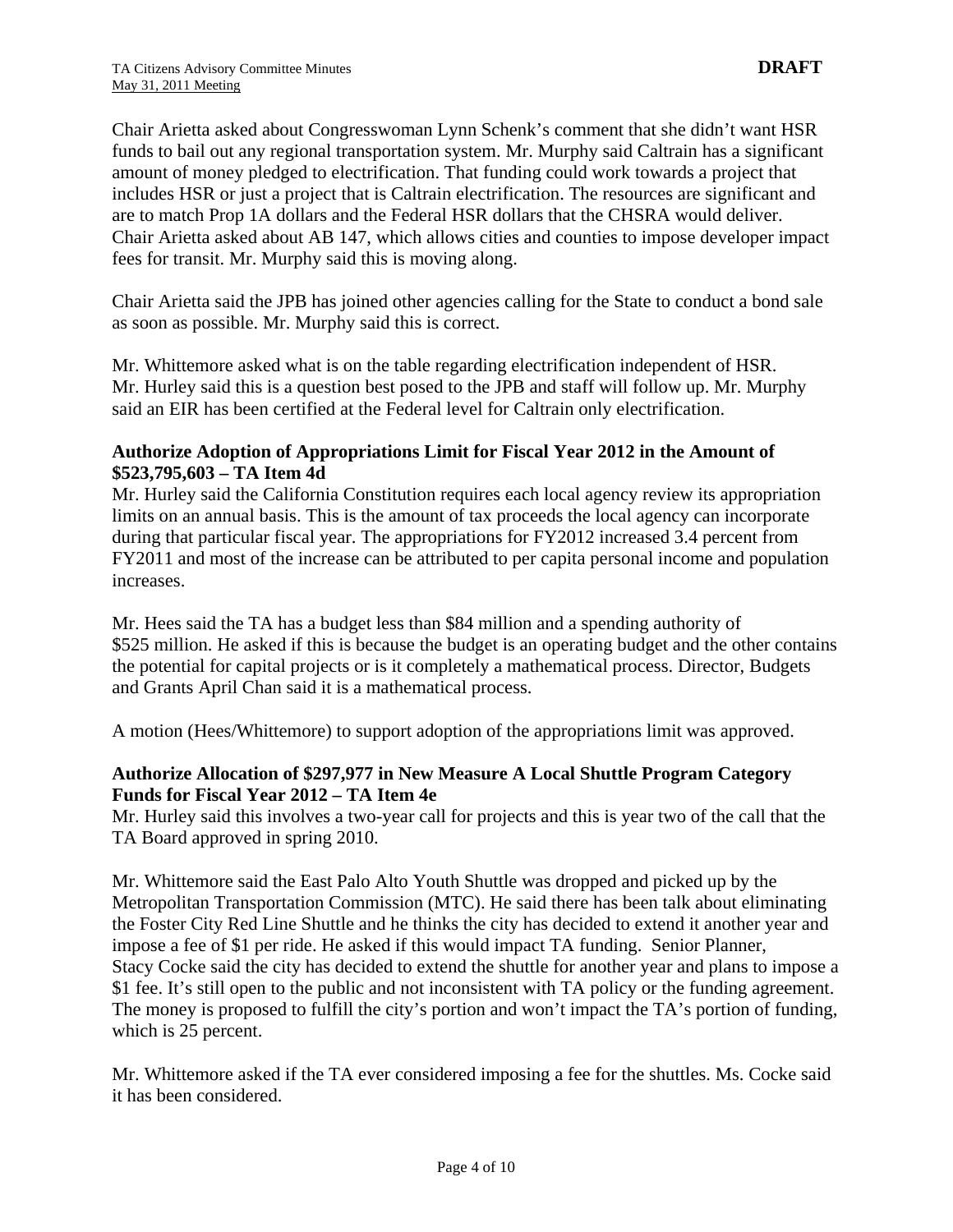Chair Arietta asked about Congresswoman Lynn Schenk's comment that she didn't want HSR funds to bail out any regional transportation system. Mr. Murphy said Caltrain has a significant amount of money pledged to electrification. That funding could work towards a project that includes HSR or just a project that is Caltrain electrification. The resources are significant and are to match Prop 1A dollars and the Federal HSR dollars that the CHSRA would deliver. Chair Arietta asked about AB 147, which allows cities and counties to impose developer impact fees for transit. Mr. Murphy said this is moving along.

Chair Arietta said the JPB has joined other agencies calling for the State to conduct a bond sale as soon as possible. Mr. Murphy said this is correct.

Mr. Whittemore asked what is on the table regarding electrification independent of HSR. Mr. Hurley said this is a question best posed to the JPB and staff will follow up. Mr. Murphy said an EIR has been certified at the Federal level for Caltrain only electrification.

## **Authorize Adoption of Appropriations Limit for Fiscal Year 2012 in the Amount of \$523,795,603 – TA Item 4d**

Mr. Hurley said the California Constitution requires each local agency review its appropriation limits on an annual basis. This is the amount of tax proceeds the local agency can incorporate during that particular fiscal year. The appropriations for FY2012 increased 3.4 percent from FY2011 and most of the increase can be attributed to per capita personal income and population increases.

Mr. Hees said the TA has a budget less than \$84 million and a spending authority of \$525 million. He asked if this is because the budget is an operating budget and the other contains the potential for capital projects or is it completely a mathematical process. Director, Budgets and Grants April Chan said it is a mathematical process.

A motion (Hees/Whittemore) to support adoption of the appropriations limit was approved.

# **Authorize Allocation of \$297,977 in New Measure A Local Shuttle Program Category Funds for Fiscal Year 2012 – TA Item 4e**

Mr. Hurley said this involves a two-year call for projects and this is year two of the call that the TA Board approved in spring 2010.

Mr. Whittemore said the East Palo Alto Youth Shuttle was dropped and picked up by the Metropolitan Transportation Commission (MTC). He said there has been talk about eliminating the Foster City Red Line Shuttle and he thinks the city has decided to extend it another year and impose a fee of \$1 per ride. He asked if this would impact TA funding. Senior Planner, Stacy Cocke said the city has decided to extend the shuttle for another year and plans to impose a \$1 fee. It's still open to the public and not inconsistent with TA policy or the funding agreement. The money is proposed to fulfill the city's portion and won't impact the TA's portion of funding, which is 25 percent.

Mr. Whittemore asked if the TA ever considered imposing a fee for the shuttles. Ms. Cocke said it has been considered.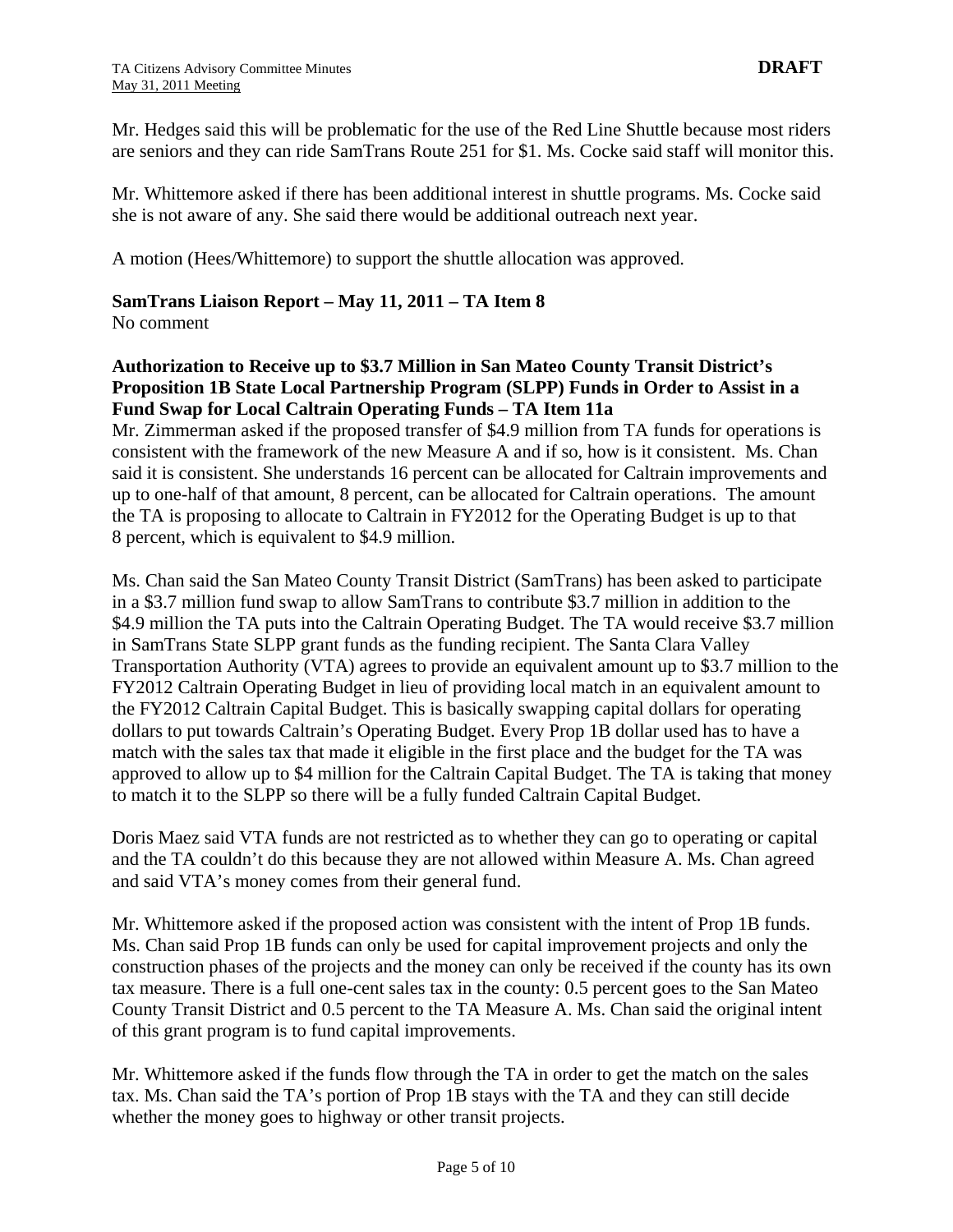Mr. Hedges said this will be problematic for the use of the Red Line Shuttle because most riders are seniors and they can ride SamTrans Route 251 for \$1. Ms. Cocke said staff will monitor this.

Mr. Whittemore asked if there has been additional interest in shuttle programs. Ms. Cocke said she is not aware of any. She said there would be additional outreach next year.

A motion (Hees/Whittemore) to support the shuttle allocation was approved.

## **SamTrans Liaison Report – May 11, 2011 – TA Item 8**

No comment

# **Authorization to Receive up to \$3.7 Million in San Mateo County Transit District's Proposition 1B State Local Partnership Program (SLPP) Funds in Order to Assist in a Fund Swap for Local Caltrain Operating Funds – TA Item 11a**

Mr. Zimmerman asked if the proposed transfer of \$4.9 million from TA funds for operations is consistent with the framework of the new Measure A and if so, how is it consistent. Ms. Chan said it is consistent. She understands 16 percent can be allocated for Caltrain improvements and up to one-half of that amount, 8 percent, can be allocated for Caltrain operations. The amount the TA is proposing to allocate to Caltrain in FY2012 for the Operating Budget is up to that 8 percent, which is equivalent to \$4.9 million.

Ms. Chan said the San Mateo County Transit District (SamTrans) has been asked to participate in a \$3.7 million fund swap to allow SamTrans to contribute \$3.7 million in addition to the \$4.9 million the TA puts into the Caltrain Operating Budget. The TA would receive \$3.7 million in SamTrans State SLPP grant funds as the funding recipient. The Santa Clara Valley Transportation Authority (VTA) agrees to provide an equivalent amount up to \$3.7 million to the FY2012 Caltrain Operating Budget in lieu of providing local match in an equivalent amount to the FY2012 Caltrain Capital Budget. This is basically swapping capital dollars for operating dollars to put towards Caltrain's Operating Budget. Every Prop 1B dollar used has to have a match with the sales tax that made it eligible in the first place and the budget for the TA was approved to allow up to \$4 million for the Caltrain Capital Budget. The TA is taking that money to match it to the SLPP so there will be a fully funded Caltrain Capital Budget.

Doris Maez said VTA funds are not restricted as to whether they can go to operating or capital and the TA couldn't do this because they are not allowed within Measure A. Ms. Chan agreed and said VTA's money comes from their general fund.

Mr. Whittemore asked if the proposed action was consistent with the intent of Prop 1B funds. Ms. Chan said Prop 1B funds can only be used for capital improvement projects and only the construction phases of the projects and the money can only be received if the county has its own tax measure. There is a full one-cent sales tax in the county: 0.5 percent goes to the San Mateo County Transit District and 0.5 percent to the TA Measure A. Ms. Chan said the original intent of this grant program is to fund capital improvements.

Mr. Whittemore asked if the funds flow through the TA in order to get the match on the sales tax. Ms. Chan said the TA's portion of Prop 1B stays with the TA and they can still decide whether the money goes to highway or other transit projects.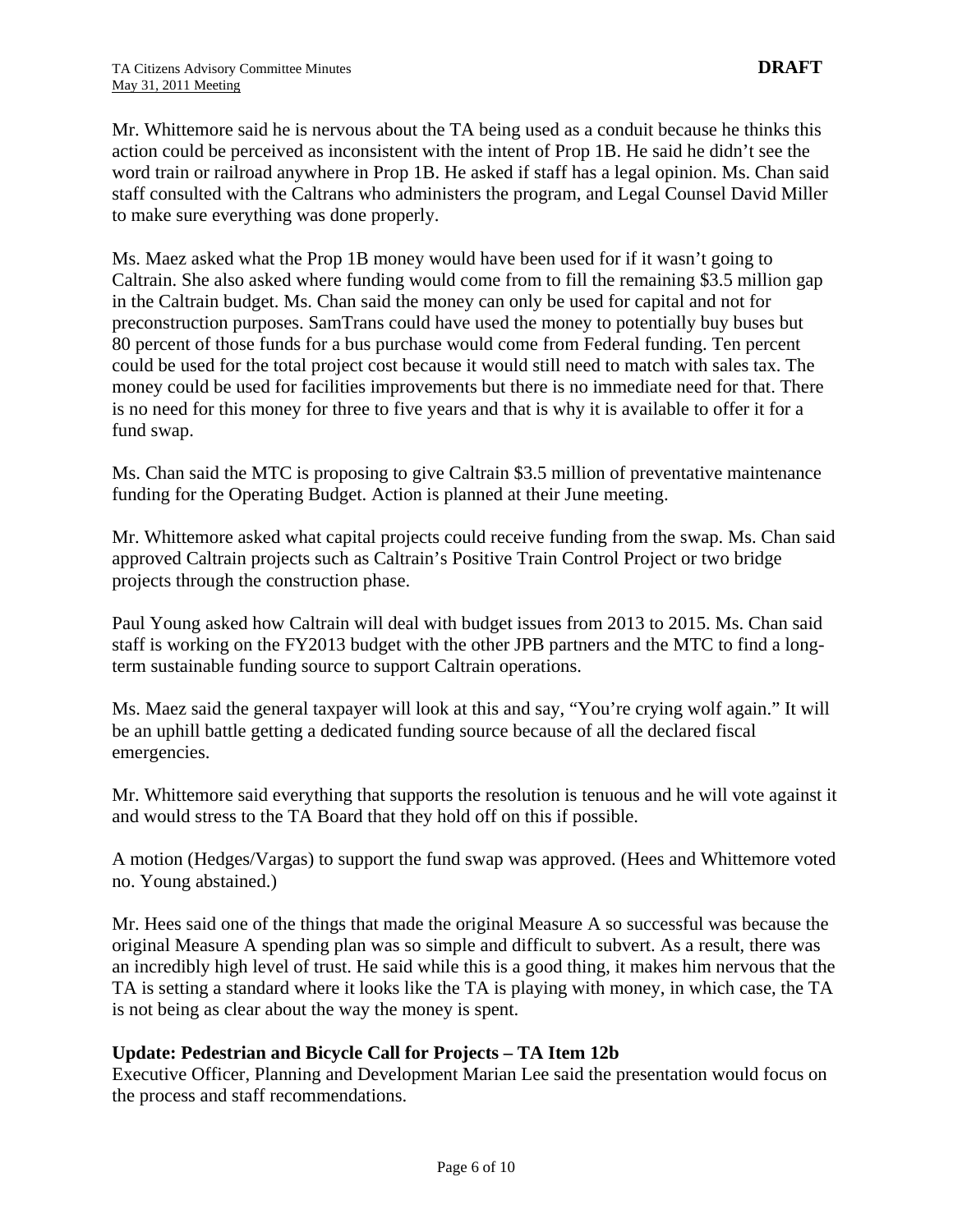Mr. Whittemore said he is nervous about the TA being used as a conduit because he thinks this action could be perceived as inconsistent with the intent of Prop 1B. He said he didn't see the word train or railroad anywhere in Prop 1B. He asked if staff has a legal opinion. Ms. Chan said staff consulted with the Caltrans who administers the program, and Legal Counsel David Miller to make sure everything was done properly.

Ms. Maez asked what the Prop 1B money would have been used for if it wasn't going to Caltrain. She also asked where funding would come from to fill the remaining \$3.5 million gap in the Caltrain budget. Ms. Chan said the money can only be used for capital and not for preconstruction purposes. SamTrans could have used the money to potentially buy buses but 80 percent of those funds for a bus purchase would come from Federal funding. Ten percent could be used for the total project cost because it would still need to match with sales tax. The money could be used for facilities improvements but there is no immediate need for that. There is no need for this money for three to five years and that is why it is available to offer it for a fund swap.

Ms. Chan said the MTC is proposing to give Caltrain \$3.5 million of preventative maintenance funding for the Operating Budget. Action is planned at their June meeting.

Mr. Whittemore asked what capital projects could receive funding from the swap. Ms. Chan said approved Caltrain projects such as Caltrain's Positive Train Control Project or two bridge projects through the construction phase.

Paul Young asked how Caltrain will deal with budget issues from 2013 to 2015. Ms. Chan said staff is working on the FY2013 budget with the other JPB partners and the MTC to find a longterm sustainable funding source to support Caltrain operations.

Ms. Maez said the general taxpayer will look at this and say, "You're crying wolf again." It will be an uphill battle getting a dedicated funding source because of all the declared fiscal emergencies.

Mr. Whittemore said everything that supports the resolution is tenuous and he will vote against it and would stress to the TA Board that they hold off on this if possible.

A motion (Hedges/Vargas) to support the fund swap was approved. (Hees and Whittemore voted no. Young abstained.)

Mr. Hees said one of the things that made the original Measure A so successful was because the original Measure A spending plan was so simple and difficult to subvert. As a result, there was an incredibly high level of trust. He said while this is a good thing, it makes him nervous that the TA is setting a standard where it looks like the TA is playing with money, in which case, the TA is not being as clear about the way the money is spent.

#### **Update: Pedestrian and Bicycle Call for Projects – TA Item 12b**

Executive Officer, Planning and Development Marian Lee said the presentation would focus on the process and staff recommendations.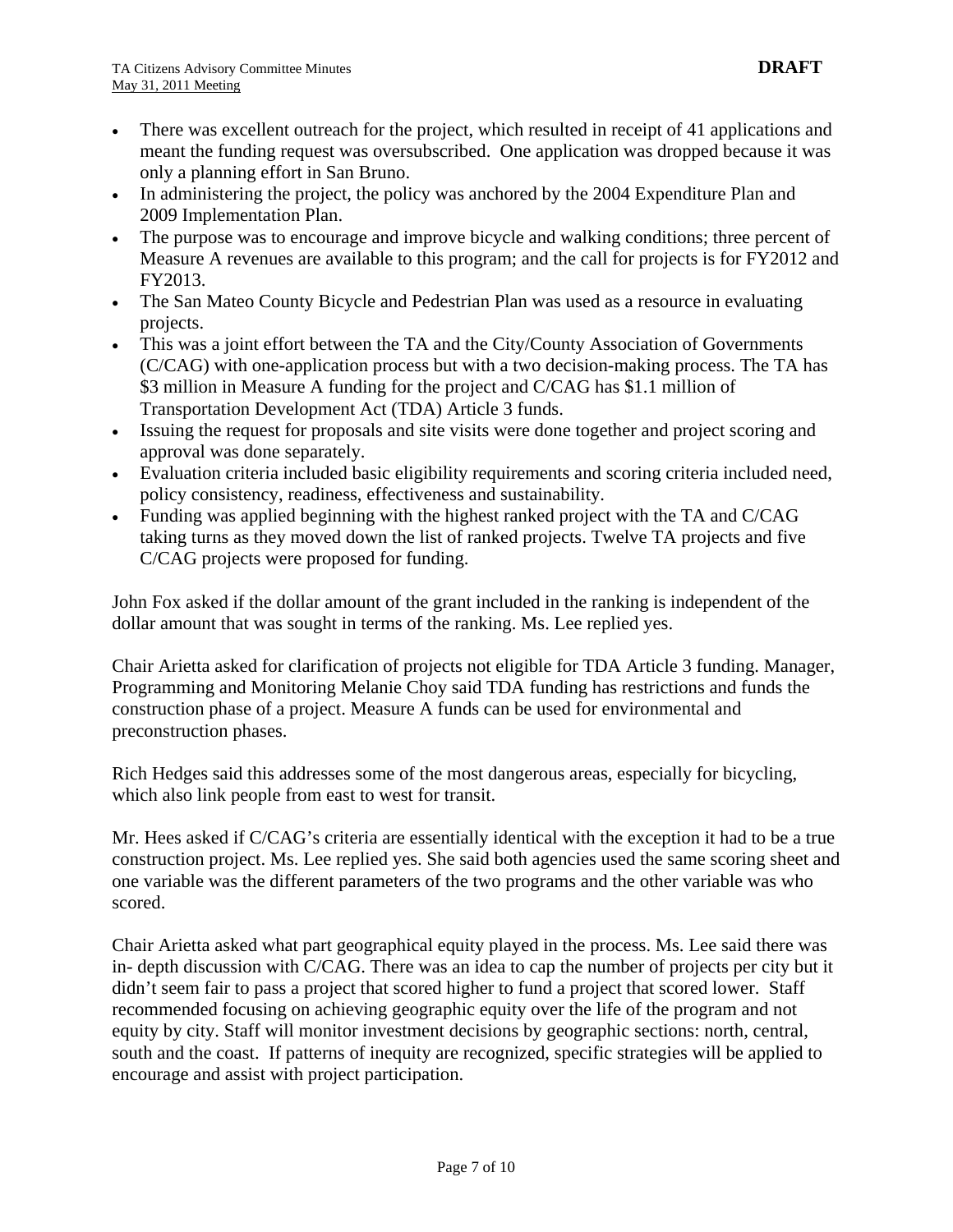- There was excellent outreach for the project, which resulted in receipt of 41 applications and meant the funding request was oversubscribed. One application was dropped because it was only a planning effort in San Bruno.
- In administering the project, the policy was anchored by the 2004 Expenditure Plan and 2009 Implementation Plan.
- The purpose was to encourage and improve bicycle and walking conditions; three percent of Measure A revenues are available to this program; and the call for projects is for FY2012 and FY2013.
- The San Mateo County Bicycle and Pedestrian Plan was used as a resource in evaluating projects.
- This was a joint effort between the TA and the City/County Association of Governments (C/CAG) with one-application process but with a two decision-making process. The TA has \$3 million in Measure A funding for the project and C/CAG has \$1.1 million of Transportation Development Act (TDA) Article 3 funds.
- Issuing the request for proposals and site visits were done together and project scoring and approval was done separately.
- Evaluation criteria included basic eligibility requirements and scoring criteria included need, policy consistency, readiness, effectiveness and sustainability.
- Funding was applied beginning with the highest ranked project with the TA and C/CAG taking turns as they moved down the list of ranked projects. Twelve TA projects and five C/CAG projects were proposed for funding.

John Fox asked if the dollar amount of the grant included in the ranking is independent of the dollar amount that was sought in terms of the ranking. Ms. Lee replied yes.

Chair Arietta asked for clarification of projects not eligible for TDA Article 3 funding. Manager, Programming and Monitoring Melanie Choy said TDA funding has restrictions and funds the construction phase of a project. Measure A funds can be used for environmental and preconstruction phases.

Rich Hedges said this addresses some of the most dangerous areas, especially for bicycling, which also link people from east to west for transit.

Mr. Hees asked if C/CAG's criteria are essentially identical with the exception it had to be a true construction project. Ms. Lee replied yes. She said both agencies used the same scoring sheet and one variable was the different parameters of the two programs and the other variable was who scored.

Chair Arietta asked what part geographical equity played in the process. Ms. Lee said there was in- depth discussion with C/CAG. There was an idea to cap the number of projects per city but it didn't seem fair to pass a project that scored higher to fund a project that scored lower. Staff recommended focusing on achieving geographic equity over the life of the program and not equity by city. Staff will monitor investment decisions by geographic sections: north, central, south and the coast. If patterns of inequity are recognized, specific strategies will be applied to encourage and assist with project participation.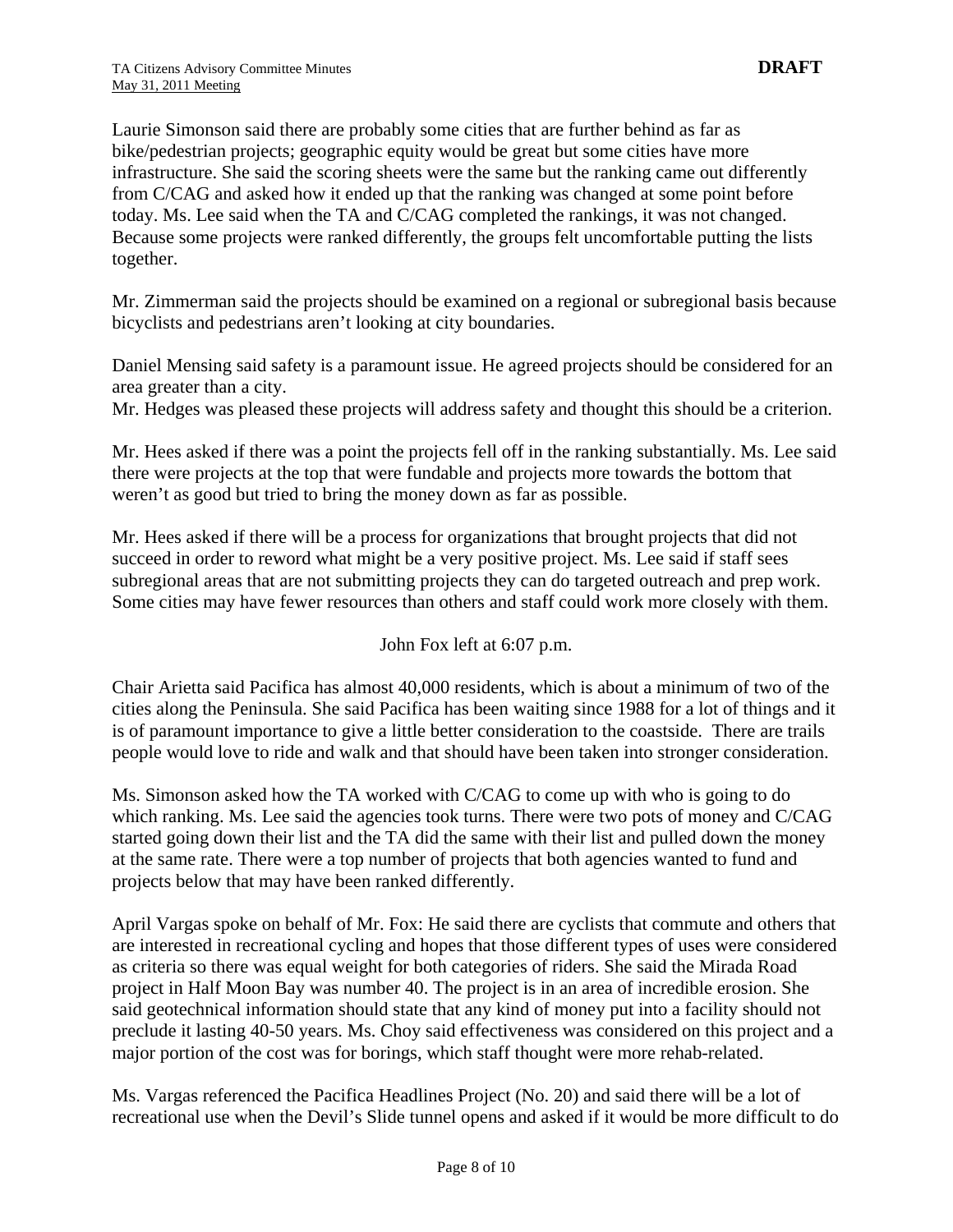Laurie Simonson said there are probably some cities that are further behind as far as bike/pedestrian projects; geographic equity would be great but some cities have more infrastructure. She said the scoring sheets were the same but the ranking came out differently from C/CAG and asked how it ended up that the ranking was changed at some point before today. Ms. Lee said when the TA and C/CAG completed the rankings, it was not changed. Because some projects were ranked differently, the groups felt uncomfortable putting the lists together.

Mr. Zimmerman said the projects should be examined on a regional or subregional basis because bicyclists and pedestrians aren't looking at city boundaries.

Daniel Mensing said safety is a paramount issue. He agreed projects should be considered for an area greater than a city.

Mr. Hedges was pleased these projects will address safety and thought this should be a criterion.

Mr. Hees asked if there was a point the projects fell off in the ranking substantially. Ms. Lee said there were projects at the top that were fundable and projects more towards the bottom that weren't as good but tried to bring the money down as far as possible.

Mr. Hees asked if there will be a process for organizations that brought projects that did not succeed in order to reword what might be a very positive project. Ms. Lee said if staff sees subregional areas that are not submitting projects they can do targeted outreach and prep work. Some cities may have fewer resources than others and staff could work more closely with them.

John Fox left at 6:07 p.m.

Chair Arietta said Pacifica has almost 40,000 residents, which is about a minimum of two of the cities along the Peninsula. She said Pacifica has been waiting since 1988 for a lot of things and it is of paramount importance to give a little better consideration to the coastside. There are trails people would love to ride and walk and that should have been taken into stronger consideration.

Ms. Simonson asked how the TA worked with C/CAG to come up with who is going to do which ranking. Ms. Lee said the agencies took turns. There were two pots of money and C/CAG started going down their list and the TA did the same with their list and pulled down the money at the same rate. There were a top number of projects that both agencies wanted to fund and projects below that may have been ranked differently.

April Vargas spoke on behalf of Mr. Fox: He said there are cyclists that commute and others that are interested in recreational cycling and hopes that those different types of uses were considered as criteria so there was equal weight for both categories of riders. She said the Mirada Road project in Half Moon Bay was number 40. The project is in an area of incredible erosion. She said geotechnical information should state that any kind of money put into a facility should not preclude it lasting 40-50 years. Ms. Choy said effectiveness was considered on this project and a major portion of the cost was for borings, which staff thought were more rehab-related.

Ms. Vargas referenced the Pacifica Headlines Project (No. 20) and said there will be a lot of recreational use when the Devil's Slide tunnel opens and asked if it would be more difficult to do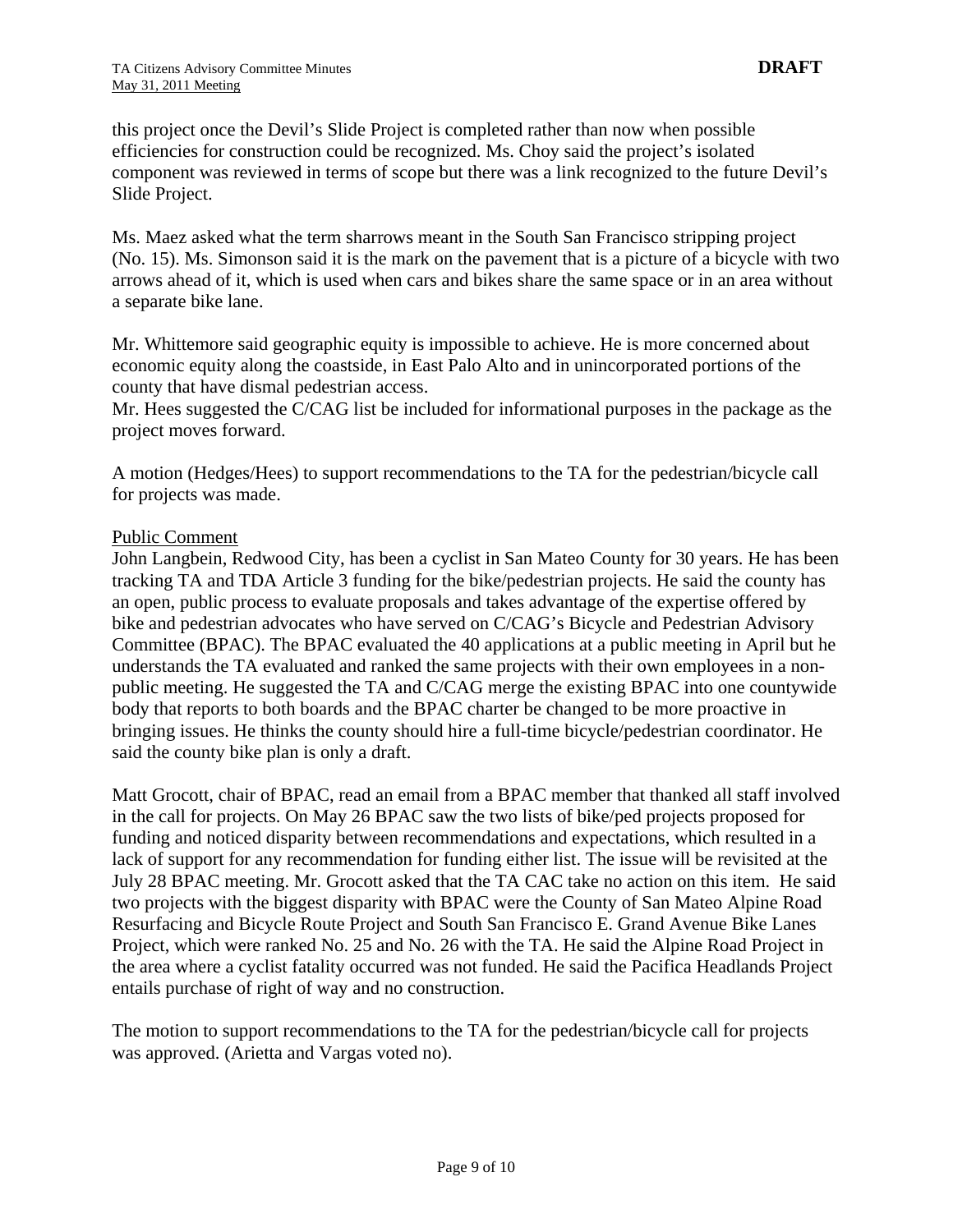this project once the Devil's Slide Project is completed rather than now when possible efficiencies for construction could be recognized. Ms. Choy said the project's isolated component was reviewed in terms of scope but there was a link recognized to the future Devil's Slide Project.

Ms. Maez asked what the term sharrows meant in the South San Francisco stripping project (No. 15). Ms. Simonson said it is the mark on the pavement that is a picture of a bicycle with two arrows ahead of it, which is used when cars and bikes share the same space or in an area without a separate bike lane.

Mr. Whittemore said geographic equity is impossible to achieve. He is more concerned about economic equity along the coastside, in East Palo Alto and in unincorporated portions of the county that have dismal pedestrian access.

Mr. Hees suggested the C/CAG list be included for informational purposes in the package as the project moves forward.

A motion (Hedges/Hees) to support recommendations to the TA for the pedestrian/bicycle call for projects was made.

#### Public Comment

John Langbein, Redwood City, has been a cyclist in San Mateo County for 30 years. He has been tracking TA and TDA Article 3 funding for the bike/pedestrian projects. He said the county has an open, public process to evaluate proposals and takes advantage of the expertise offered by bike and pedestrian advocates who have served on C/CAG's Bicycle and Pedestrian Advisory Committee (BPAC). The BPAC evaluated the 40 applications at a public meeting in April but he understands the TA evaluated and ranked the same projects with their own employees in a nonpublic meeting. He suggested the TA and C/CAG merge the existing BPAC into one countywide body that reports to both boards and the BPAC charter be changed to be more proactive in bringing issues. He thinks the county should hire a full-time bicycle/pedestrian coordinator. He said the county bike plan is only a draft.

Matt Grocott, chair of BPAC, read an email from a BPAC member that thanked all staff involved in the call for projects. On May 26 BPAC saw the two lists of bike/ped projects proposed for funding and noticed disparity between recommendations and expectations, which resulted in a lack of support for any recommendation for funding either list. The issue will be revisited at the July 28 BPAC meeting. Mr. Grocott asked that the TA CAC take no action on this item. He said two projects with the biggest disparity with BPAC were the County of San Mateo Alpine Road Resurfacing and Bicycle Route Project and South San Francisco E. Grand Avenue Bike Lanes Project, which were ranked No. 25 and No. 26 with the TA. He said the Alpine Road Project in the area where a cyclist fatality occurred was not funded. He said the Pacifica Headlands Project entails purchase of right of way and no construction.

The motion to support recommendations to the TA for the pedestrian/bicycle call for projects was approved. (Arietta and Vargas voted no).